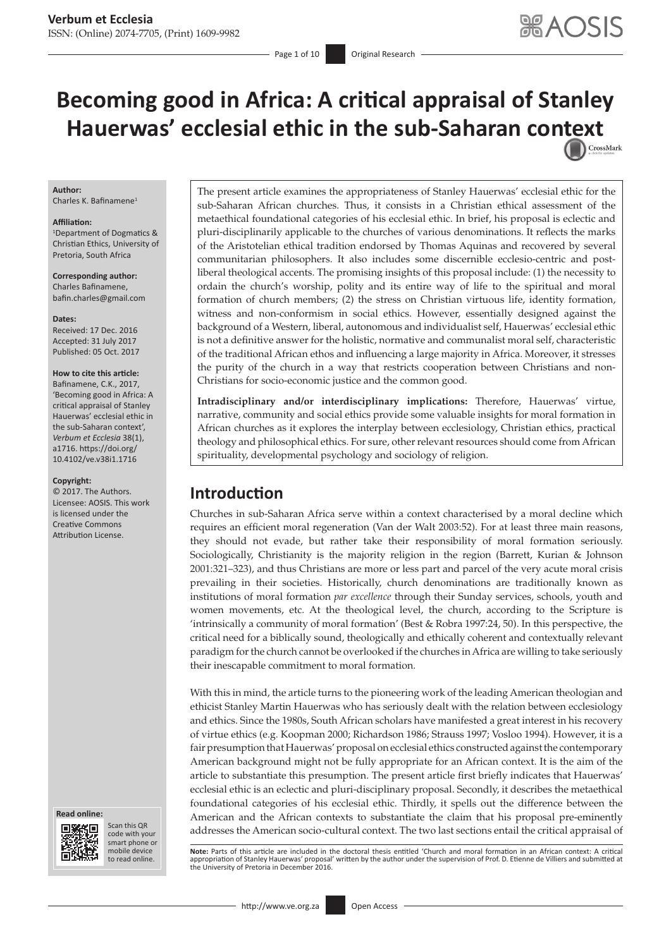- Page 1 of 10 **Original Research** 

# **Becoming good in Africa: A critical appraisal of Stanley Hauerwas' ecclesial ethic in the sub-Saharan co[ntext](http://crossmark.crossref.org/dialog/?doi=10.4102/ve.v38i1.1716=pdf&date_stamp=2017-10-05)** CrossMark

#### **Author:**

Charles K. Bafinamene<sup>1</sup>

#### **Affiliation:**

1 Department of Dogmatics & Christian Ethics, University of Pretoria, South Africa

**Corresponding author:** Charles Bafinamene, [bafin.charles@gmail.com](mailto:bafin.charles@gmail.com)

#### **Dates:**

Received: 17 Dec. 2016 Accepted: 31 July 2017 Published: 05 Oct. 2017

#### **How to cite this article:** Bafinamene, C.K., 2017, 'Becoming good in Africa: A critical appraisal of Stanley Hauerwas' ecclesial ethic in the sub-Saharan context', *Verbum et Ecclesia* 38(1), a1716. [https://doi.org/](https://doi.org/10.4102/ve.v38i1.1716)

[10.4102/ve.v38i1.1716](https://doi.org/10.4102/ve.v38i1.1716)

#### **Copyright:**

© 2017. The Authors. Licensee: AOSIS. This work is licensed under the Creative Commons Attribution License.



Scan this QR code with your Scan this QR<br>code with your<br>smart phone or<br>mobile device mobile device to read online. to read online.

The present article examines the appropriateness of Stanley Hauerwas' ecclesial ethic for the sub-Saharan African churches. Thus, it consists in a Christian ethical assessment of the metaethical foundational categories of his ecclesial ethic. In brief, his proposal is eclectic and pluri-disciplinarily applicable to the churches of various denominations. It reflects the marks of the Aristotelian ethical tradition endorsed by Thomas Aquinas and recovered by several communitarian philosophers. It also includes some discernible ecclesio-centric and postliberal theological accents. The promising insights of this proposal include: (1) the necessity to ordain the church's worship, polity and its entire way of life to the spiritual and moral formation of church members; (2) the stress on Christian virtuous life, identity formation, witness and non-conformism in social ethics. However, essentially designed against the background of a Western, liberal, autonomous and individualist self, Hauerwas' ecclesial ethic is not a definitive answer for the holistic, normative and communalist moral self, characteristic of the traditional African ethos and influencing a large majority in Africa. Moreover, it stresses the purity of the church in a way that restricts cooperation between Christians and non-Christians for socio-economic justice and the common good.

**Intradisciplinary and/or interdisciplinary implications:** Therefore, Hauerwas' virtue, narrative, community and social ethics provide some valuable insights for moral formation in African churches as it explores the interplay between ecclesiology, Christian ethics, practical theology and philosophical ethics. For sure, other relevant resources should come from African spirituality, developmental psychology and sociology of religion.

## **Introduction**

Churches in sub-Saharan Africa serve within a context characterised by a moral decline which requires an efficient moral regeneration (Van der Walt 2003:52). For at least three main reasons, they should not evade, but rather take their responsibility of moral formation seriously. Sociologically, Christianity is the majority religion in the region (Barrett, Kurian & Johnson 2001:321–323), and thus Christians are more or less part and parcel of the very acute moral crisis prevailing in their societies. Historically, church denominations are traditionally known as institutions of moral formation *par excellence* through their Sunday services, schools, youth and women movements, etc. At the theological level, the church, according to the Scripture is 'intrinsically a community of moral formation' (Best & Robra 1997:24, 50). In this perspective, the critical need for a biblically sound, theologically and ethically coherent and contextually relevant paradigm for the church cannot be overlooked if the churches in Africa are willing to take seriously their inescapable commitment to moral formation.

With this in mind, the article turns to the pioneering work of the leading American theologian and ethicist Stanley Martin Hauerwas who has seriously dealt with the relation between ecclesiology and ethics. Since the 1980s, South African scholars have manifested a great interest in his recovery of virtue ethics (e.g. Koopman 2000; Richardson 1986; Strauss 1997; Vosloo 1994). However, it is a fair presumption that Hauerwas' proposal on ecclesial ethics constructed against the contemporary American background might not be fully appropriate for an African context. It is the aim of the article to substantiate this presumption. The present article first briefly indicates that Hauerwas' ecclesial ethic is an eclectic and pluri-disciplinary proposal. Secondly, it describes the metaethical foundational categories of his ecclesial ethic. Thirdly, it spells out the difference between the American and the African contexts to substantiate the claim that his proposal pre-eminently addresses the American socio-cultural context. The two last sections entail the critical appraisal of

**Note:** Parts of this article are included in the doctoral thesis entitled 'Church and moral formation in an African context: A critical appropriation of Stanley Hauerwas' proposal' written by the author under the supervision of Prof. D. Etienne de Villiers and submitted at the University of Pretoria in December 2016.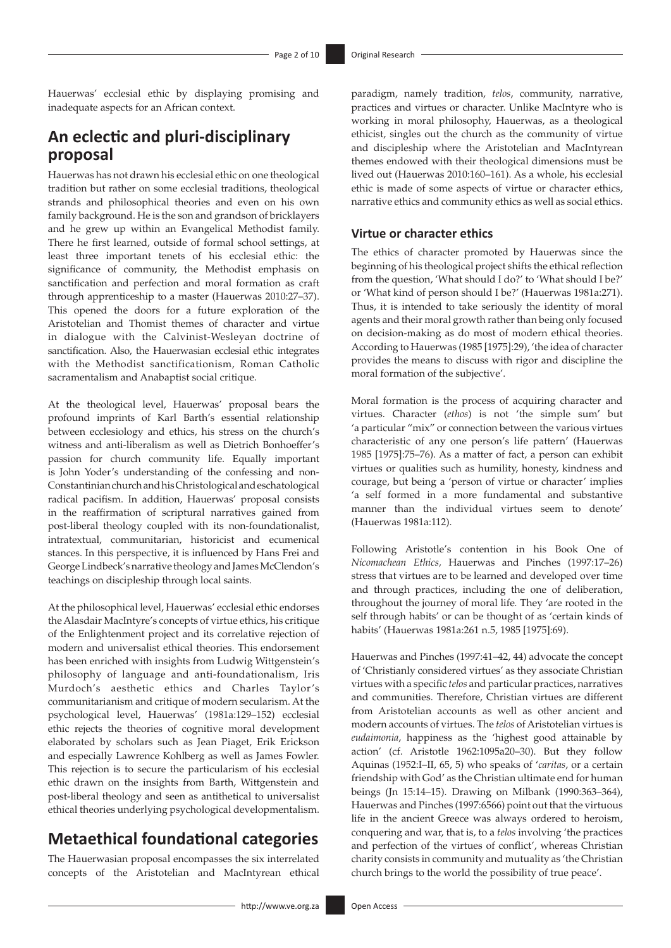Hauerwas' ecclesial ethic by displaying promising and inadequate aspects for an African context.

## **An eclectic and pluri-disciplinary proposal**

Hauerwas has not drawn his ecclesial ethic on one theological tradition but rather on some ecclesial traditions, theological strands and philosophical theories and even on his own family background. He is the son and grandson of bricklayers and he grew up within an Evangelical Methodist family. There he first learned, outside of formal school settings, at least three important tenets of his ecclesial ethic: the significance of community, the Methodist emphasis on sanctification and perfection and moral formation as craft through apprenticeship to a master (Hauerwas 2010:27–37). This opened the doors for a future exploration of the Aristotelian and Thomist themes of character and virtue in dialogue with the Calvinist-Wesleyan doctrine of sanctification. Also, the Hauerwasian ecclesial ethic integrates with the Methodist sanctificationism, Roman Catholic sacramentalism and Anabaptist social critique.

At the theological level, Hauerwas' proposal bears the profound imprints of Karl Barth's essential relationship between ecclesiology and ethics, his stress on the church's witness and anti-liberalism as well as Dietrich Bonhoeffer's passion for church community life. Equally important is John Yoder's understanding of the confessing and non-Constantinian church and his Christological and eschatological radical pacifism. In addition, Hauerwas' proposal consists in the reaffirmation of scriptural narratives gained from post-liberal theology coupled with its non-foundationalist, intratextual, communitarian, historicist and ecumenical stances. In this perspective, it is influenced by Hans Frei and George Lindbeck's narrative theology and James McClendon's teachings on discipleship through local saints.

At the philosophical level, Hauerwas' ecclesial ethic endorses the Alasdair MacIntyre's concepts of virtue ethics, his critique of the Enlightenment project and its correlative rejection of modern and universalist ethical theories. This endorsement has been enriched with insights from Ludwig Wittgenstein's philosophy of language and anti-foundationalism, Iris Murdoch's aesthetic ethics and Charles Taylor's communitarianism and critique of modern secularism. At the psychological level, Hauerwas' (1981a:129–152) ecclesial ethic rejects the theories of cognitive moral development elaborated by scholars such as Jean Piaget, Erik Erickson and especially Lawrence Kohlberg as well as James Fowler. This rejection is to secure the particularism of his ecclesial ethic drawn on the insights from Barth, Wittgenstein and post-liberal theology and seen as antithetical to universalist ethical theories underlying psychological developmentalism.

## **Metaethical foundational categories**

The Hauerwasian proposal encompasses the six interrelated concepts of the Aristotelian and MacIntyrean ethical paradigm, namely tradition, *telos*, community, narrative, practices and virtues or character. Unlike MacIntyre who is working in moral philosophy, Hauerwas, as a theological ethicist, singles out the church as the community of virtue and discipleship where the Aristotelian and MacIntyrean themes endowed with their theological dimensions must be lived out (Hauerwas 2010:160–161). As a whole, his ecclesial ethic is made of some aspects of virtue or character ethics, narrative ethics and community ethics as well as social ethics.

### **Virtue or character ethics**

The ethics of character promoted by Hauerwas since the beginning of his theological project shifts the ethical reflection from the question, 'What should I do?' to 'What should I be?' or 'What kind of person should I be?' (Hauerwas 1981a:271). Thus, it is intended to take seriously the identity of moral agents and their moral growth rather than being only focused on decision-making as do most of modern ethical theories. According to Hauerwas (1985 [1975]:29), 'the idea of character provides the means to discuss with rigor and discipline the moral formation of the subjective'.

Moral formation is the process of acquiring character and virtues. Character (*ethos*) is not 'the simple sum' but 'a particular "mix" or connection between the various virtues characteristic of any one person's life pattern' (Hauerwas 1985 [1975]:75–76). As a matter of fact, a person can exhibit virtues or qualities such as humility, honesty, kindness and courage, but being a 'person of virtue or character' implies 'a self formed in a more fundamental and substantive manner than the individual virtues seem to denote' (Hauerwas 1981a:112).

Following Aristotle's contention in his Book One of *Nicomachean Ethics,* Hauerwas and Pinches (1997:17–26) stress that virtues are to be learned and developed over time and through practices, including the one of deliberation, throughout the journey of moral life*.* They 'are rooted in the self through habits' or can be thought of as 'certain kinds of habits' (Hauerwas 1981a:261 n.5, 1985 [1975]:69).

Hauerwas and Pinches (1997:41–42, 44) advocate the concept of 'Christianly considered virtues' as they associate Christian virtues with a specific *telos* and particular practices, narratives and communities. Therefore, Christian virtues are different from Aristotelian accounts as well as other ancient and modern accounts of virtues. The *telos* of Aristotelian virtues is *eudaimonia*, happiness as the 'highest good attainable by action' (cf. Aristotle 1962:1095a20–30). But they follow Aquinas (1952:I–II, 65, 5) who speaks of '*caritas*, or a certain friendship with God' as the Christian ultimate end for human beings (Jn 15:14–15). Drawing on Milbank (1990:363–364), Hauerwas and Pinches (1997:6566) point out that the virtuous life in the ancient Greece was always ordered to heroism, conquering and war, that is, to a *telos* involving 'the practices and perfection of the virtues of conflict', whereas Christian charity consists in community and mutuality as 'the Christian church brings to the world the possibility of true peace'.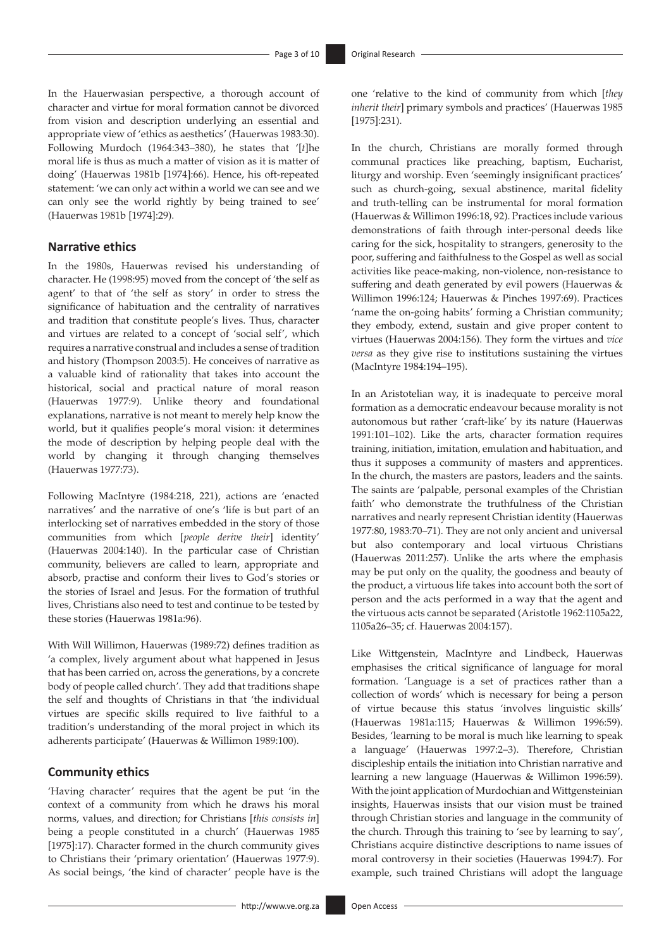In the Hauerwasian perspective, a thorough account of character and virtue for moral formation cannot be divorced from vision and description underlying an essential and appropriate view of 'ethics as aesthetics' (Hauerwas 1983:30). Following Murdoch (1964:343–380), he states that '[*t*]he moral life is thus as much a matter of vision as it is matter of doing' (Hauerwas 1981b [1974]:66). Hence, his oft-repeated statement: 'we can only act within a world we can see and we can only see the world rightly by being trained to see' (Hauerwas 1981b [1974]:29).

### **Narrative ethics**

In the 1980s, Hauerwas revised his understanding of character. He (1998:95) moved from the concept of 'the self as agent' to that of 'the self as story' in order to stress the significance of habituation and the centrality of narratives and tradition that constitute people's lives. Thus, character and virtues are related to a concept of 'social self', which requires a narrative construal and includes a sense of tradition and history (Thompson 2003:5). He conceives of narrative as a valuable kind of rationality that takes into account the historical, social and practical nature of moral reason (Hauerwas 1977:9). Unlike theory and foundational explanations, narrative is not meant to merely help know the world, but it qualifies people's moral vision: it determines the mode of description by helping people deal with the world by changing it through changing themselves (Hauerwas 1977:73).

Following MacIntyre (1984:218, 221), actions are 'enacted narratives' and the narrative of one's 'life is but part of an interlocking set of narratives embedded in the story of those communities from which [*people derive their*] identity' (Hauerwas 2004:140). In the particular case of Christian community, believers are called to learn, appropriate and absorb, practise and conform their lives to God's stories or the stories of Israel and Jesus. For the formation of truthful lives, Christians also need to test and continue to be tested by these stories (Hauerwas 1981a:96).

With Will Willimon, Hauerwas (1989:72) defines tradition as 'a complex, lively argument about what happened in Jesus that has been carried on, across the generations, by a concrete body of people called church'. They add that traditions shape the self and thoughts of Christians in that 'the individual virtues are specific skills required to live faithful to a tradition's understanding of the moral project in which its adherents participate' (Hauerwas & Willimon 1989:100).

#### **Community ethics**

'Having character' requires that the agent be put 'in the context of a community from which he draws his moral norms, values, and direction; for Christians [*this consists in*] being a people constituted in a church' (Hauerwas 1985 [1975]:17). Character formed in the church community gives to Christians their 'primary orientation' (Hauerwas 1977:9). As social beings, 'the kind of character' people have is the one 'relative to the kind of community from which [*they inherit their*] primary symbols and practices' (Hauerwas 1985 [1975]:231).

In the church, Christians are morally formed through communal practices like preaching, baptism, Eucharist, liturgy and worship. Even 'seemingly insignificant practices' such as church-going, sexual abstinence, marital fidelity and truth-telling can be instrumental for moral formation (Hauerwas & Willimon 1996:18, 92). Practices include various demonstrations of faith through inter-personal deeds like caring for the sick, hospitality to strangers, generosity to the poor, suffering and faithfulness to the Gospel as well as social activities like peace-making, non-violence, non-resistance to suffering and death generated by evil powers (Hauerwas & Willimon 1996:124; Hauerwas & Pinches 1997:69). Practices 'name the on-going habits' forming a Christian community; they embody, extend, sustain and give proper content to virtues (Hauerwas 2004:156). They form the virtues and *vice versa* as they give rise to institutions sustaining the virtues (MacIntyre 1984:194–195).

In an Aristotelian way, it is inadequate to perceive moral formation as a democratic endeavour because morality is not autonomous but rather 'craft-like' by its nature (Hauerwas 1991:101–102). Like the arts, character formation requires training, initiation, imitation, emulation and habituation, and thus it supposes a community of masters and apprentices. In the church, the masters are pastors, leaders and the saints. The saints are 'palpable, personal examples of the Christian faith' who demonstrate the truthfulness of the Christian narratives and nearly represent Christian identity (Hauerwas 1977:80, 1983:70–71). They are not only ancient and universal but also contemporary and local virtuous Christians (Hauerwas 2011:257). Unlike the arts where the emphasis may be put only on the quality, the goodness and beauty of the product, a virtuous life takes into account both the sort of person and the acts performed in a way that the agent and the virtuous acts cannot be separated (Aristotle 1962:1105a22, 1105a26–35; cf. Hauerwas 2004:157).

Like Wittgenstein, MacIntyre and Lindbeck, Hauerwas emphasises the critical significance of language for moral formation. 'Language is a set of practices rather than a collection of words' which is necessary for being a person of virtue because this status 'involves linguistic skills' (Hauerwas 1981a:115; Hauerwas & Willimon 1996:59). Besides, 'learning to be moral is much like learning to speak a language' (Hauerwas 1997:2–3). Therefore, Christian discipleship entails the initiation into Christian narrative and learning a new language (Hauerwas & Willimon 1996:59). With the joint application of Murdochian and Wittgensteinian insights, Hauerwas insists that our vision must be trained through Christian stories and language in the community of the church. Through this training to 'see by learning to say', Christians acquire distinctive descriptions to name issues of moral controversy in their societies (Hauerwas 1994:7). For example, such trained Christians will adopt the language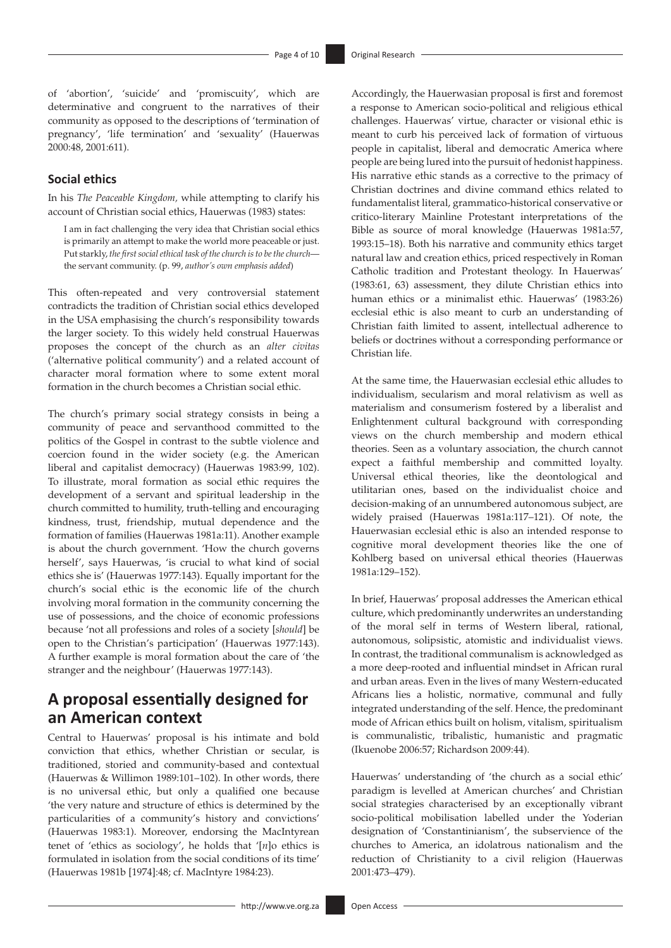of 'abortion', 'suicide' and 'promiscuity', which are determinative and congruent to the narratives of their community as opposed to the descriptions of 'termination of pregnancy', 'life termination' and 'sexuality' (Hauerwas 2000:48, 2001:611).

#### **Social ethics**

In his *The Peaceable Kingdom,* while attempting to clarify his account of Christian social ethics, Hauerwas (1983) states:

I am in fact challenging the very idea that Christian social ethics is primarily an attempt to make the world more peaceable or just. Put starkly, *the first social ethical task of the church is to be the church* the servant community. (p. 99, *author's own emphasis added*)

This often-repeated and very controversial statement contradicts the tradition of Christian social ethics developed in the USA emphasising the church's responsibility towards the larger society. To this widely held construal Hauerwas proposes the concept of the church as an *alter civitas* ('alternative political community') and a related account of character moral formation where to some extent moral formation in the church becomes a Christian social ethic.

The church's primary social strategy consists in being a community of peace and servanthood committed to the politics of the Gospel in contrast to the subtle violence and coercion found in the wider society (e.g. the American liberal and capitalist democracy) (Hauerwas 1983:99, 102). To illustrate, moral formation as social ethic requires the development of a servant and spiritual leadership in the church committed to humility, truth-telling and encouraging kindness, trust, friendship, mutual dependence and the formation of families (Hauerwas 1981a:11). Another example is about the church government. 'How the church governs herself', says Hauerwas, 'is crucial to what kind of social ethics she is' (Hauerwas 1977:143). Equally important for the church's social ethic is the economic life of the church involving moral formation in the community concerning the use of possessions, and the choice of economic professions because 'not all professions and roles of a society [*should*] be open to the Christian's participation' (Hauerwas 1977:143). A further example is moral formation about the care of 'the stranger and the neighbour' (Hauerwas 1977:143).

## **A proposal essentially designed for an American context**

Central to Hauerwas' proposal is his intimate and bold conviction that ethics, whether Christian or secular, is traditioned, storied and community-based and contextual (Hauerwas & Willimon 1989:101–102). In other words, there is no universal ethic, but only a qualified one because 'the very nature and structure of ethics is determined by the particularities of a community's history and convictions' (Hauerwas 1983:1). Moreover, endorsing the MacIntyrean tenet of 'ethics as sociology', he holds that '[*n*]o ethics is formulated in isolation from the social conditions of its time' (Hauerwas 1981b [1974]:48; cf. MacIntyre 1984:23).

Accordingly, the Hauerwasian proposal is first and foremost a response to American socio-political and religious ethical challenges. Hauerwas' virtue, character or visional ethic is meant to curb his perceived lack of formation of virtuous people in capitalist, liberal and democratic America where people are being lured into the pursuit of hedonist happiness. His narrative ethic stands as a corrective to the primacy of Christian doctrines and divine command ethics related to fundamentalist literal, grammatico-historical conservative or critico-literary Mainline Protestant interpretations of the Bible as source of moral knowledge (Hauerwas 1981a:57, 1993:15–18). Both his narrative and community ethics target natural law and creation ethics, priced respectively in Roman Catholic tradition and Protestant theology. In Hauerwas' (1983:61, 63) assessment, they dilute Christian ethics into human ethics or a minimalist ethic. Hauerwas' (1983:26) ecclesial ethic is also meant to curb an understanding of Christian faith limited to assent, intellectual adherence to beliefs or doctrines without a corresponding performance or Christian life.

At the same time, the Hauerwasian ecclesial ethic alludes to individualism, secularism and moral relativism as well as materialism and consumerism fostered by a liberalist and Enlightenment cultural background with corresponding views on the church membership and modern ethical theories. Seen as a voluntary association, the church cannot expect a faithful membership and committed loyalty. Universal ethical theories, like the deontological and utilitarian ones, based on the individualist choice and decision-making of an unnumbered autonomous subject, are widely praised (Hauerwas 1981a:117–121). Of note, the Hauerwasian ecclesial ethic is also an intended response to cognitive moral development theories like the one of Kohlberg based on universal ethical theories (Hauerwas 1981a:129–152).

In brief, Hauerwas' proposal addresses the American ethical culture, which predominantly underwrites an understanding of the moral self in terms of Western liberal, rational, autonomous, solipsistic, atomistic and individualist views. In contrast, the traditional communalism is acknowledged as a more deep-rooted and influential mindset in African rural and urban areas. Even in the lives of many Western-educated Africans lies a holistic, normative, communal and fully integrated understanding of the self. Hence, the predominant mode of African ethics built on holism, vitalism, spiritualism is communalistic, tribalistic, humanistic and pragmatic (Ikuenobe 2006:57; Richardson 2009:44).

Hauerwas' understanding of 'the church as a social ethic' paradigm is levelled at American churches' and Christian social strategies characterised by an exceptionally vibrant socio-political mobilisation labelled under the Yoderian designation of 'Constantinianism', the subservience of the churches to America, an idolatrous nationalism and the reduction of Christianity to a civil religion (Hauerwas 2001:473–479).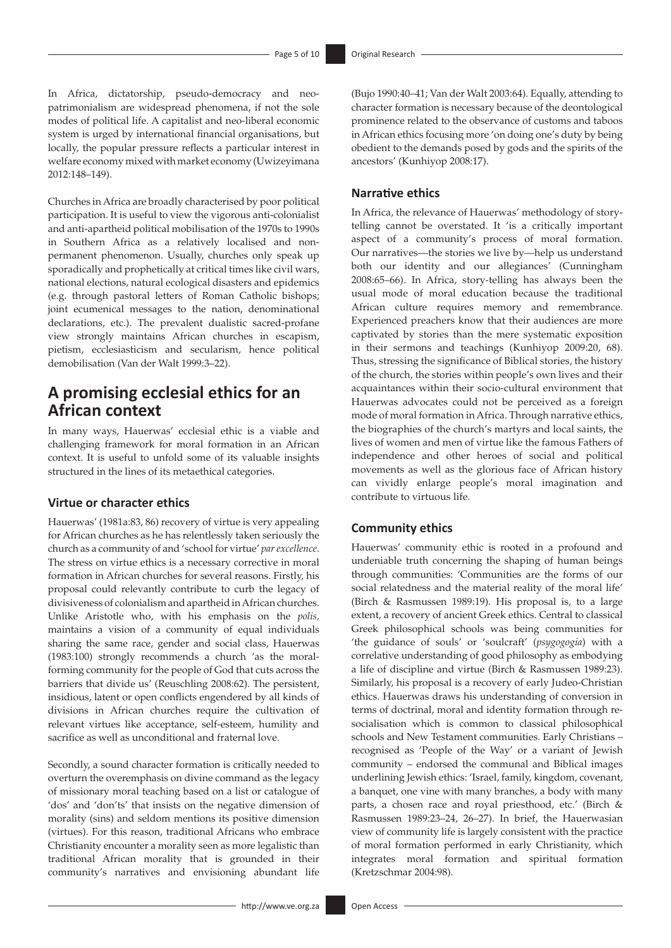In Africa, dictatorship, pseudo-democracy and neopatrimonialism are widespread phenomena, if not the sole modes of political life. A capitalist and neo-liberal economic system is urged by international financial organisations, but locally, the popular pressure reflects a particular interest in welfare economy mixed with market economy (Uwizeyimana 2012:148–149).

Churches in Africa are broadly characterised by poor political participation. It is useful to view the vigorous anti-colonialist and anti-apartheid political mobilisation of the 1970s to 1990s in Southern Africa as a relatively localised and nonpermanent phenomenon. Usually, churches only speak up sporadically and prophetically at critical times like civil wars, national elections, natural ecological disasters and epidemics (e.g. through pastoral letters of Roman Catholic bishops; joint ecumenical messages to the nation, denominational declarations, etc.). The prevalent dualistic sacred-profane view strongly maintains African churches in escapism, pietism, ecclesiasticism and secularism, hence political demobilisation (Van der Walt 1999:3–22).

### **A promising ecclesial ethics for an African context**

In many ways, Hauerwas' ecclesial ethic is a viable and challenging framework for moral formation in an African context. It is useful to unfold some of its valuable insights structured in the lines of its metaethical categories.

#### **Virtue or character ethics**

Hauerwas' (1981a:83, 86) recovery of virtue is very appealing for African churches as he has relentlessly taken seriously the church as a community of and 'school for virtue' *par excellence*. The stress on virtue ethics is a necessary corrective in moral formation in African churches for several reasons. Firstly, his proposal could relevantly contribute to curb the legacy of divisiveness of colonialism and apartheid in African churches. Unlike Aristotle who, with his emphasis on the *polis,* maintains a vision of a community of equal individuals sharing the same race, gender and social class, Hauerwas (1983:100) strongly recommends a church 'as the moralforming community for the people of God that cuts across the barriers that divide us' (Reuschling 2008:62). The persistent, insidious, latent or open conflicts engendered by all kinds of divisions in African churches require the cultivation of relevant virtues like acceptance, self-esteem, humility and sacrifice as well as unconditional and fraternal love.

Secondly, a sound character formation is critically needed to overturn the overemphasis on divine command as the legacy of missionary moral teaching based on a list or catalogue of 'dos' and 'don'ts' that insists on the negative dimension of morality (sins) and seldom mentions its positive dimension (virtues). For this reason, traditional Africans who embrace Christianity encounter a morality seen as more legalistic than traditional African morality that is grounded in their community's narratives and envisioning abundant life

(Bujo 1990:40–41; Van der Walt 2003:64). Equally, attending to character formation is necessary because of the deontological prominence related to the observance of customs and taboos in African ethics focusing more 'on doing one's duty by being obedient to the demands posed by gods and the spirits of the ancestors' (Kunhiyop 2008:17).

### **Narrative ethics**

In Africa, the relevance of Hauerwas' methodology of storytelling cannot be overstated. It 'is a critically important aspect of a community's process of moral formation. Our narratives—the stories we live by—help us understand both our identity and our allegiances' (Cunningham 2008:65–66). In Africa, story-telling has always been the usual mode of moral education because the traditional African culture requires memory and remembrance. Experienced preachers know that their audiences are more captivated by stories than the mere systematic exposition in their sermons and teachings (Kunhiyop 2009:20, 68). Thus, stressing the significance of Biblical stories, the history of the church, the stories within people's own lives and their acquaintances within their socio-cultural environment that Hauerwas advocates could not be perceived as a foreign mode of moral formation in Africa. Through narrative ethics, the biographies of the church's martyrs and local saints, the lives of women and men of virtue like the famous Fathers of independence and other heroes of social and political movements as well as the glorious face of African history can vividly enlarge people's moral imagination and contribute to virtuous life.

#### **Community ethics**

Hauerwas' community ethic is rooted in a profound and undeniable truth concerning the shaping of human beings through communities: 'Communities are the forms of our social relatedness and the material reality of the moral life' (Birch & Rasmussen 1989:19). His proposal is, to a large extent, a recovery of ancient Greek ethics. Central to classical Greek philosophical schools was being communities for 'the guidance of souls' or 'soulcraft' (*psygogogia*) with a correlative understanding of good philosophy as embodying a life of discipline and virtue (Birch & Rasmussen 1989:23). Similarly, his proposal is a recovery of early Judeo-Christian ethics. Hauerwas draws his understanding of conversion in terms of doctrinal, moral and identity formation through resocialisation which is common to classical philosophical schools and New Testament communities. Early Christians – recognised as 'People of the Way' or a variant of Jewish community – endorsed the communal and Biblical images underlining Jewish ethics: 'Israel, family, kingdom, covenant, a banquet, one vine with many branches, a body with many parts, a chosen race and royal priesthood, etc.' (Birch & Rasmussen 1989:23–24, 26–27). In brief, the Hauerwasian view of community life is largely consistent with the practice of moral formation performed in early Christianity, which integrates moral formation and spiritual formation (Kretzschmar 2004:98).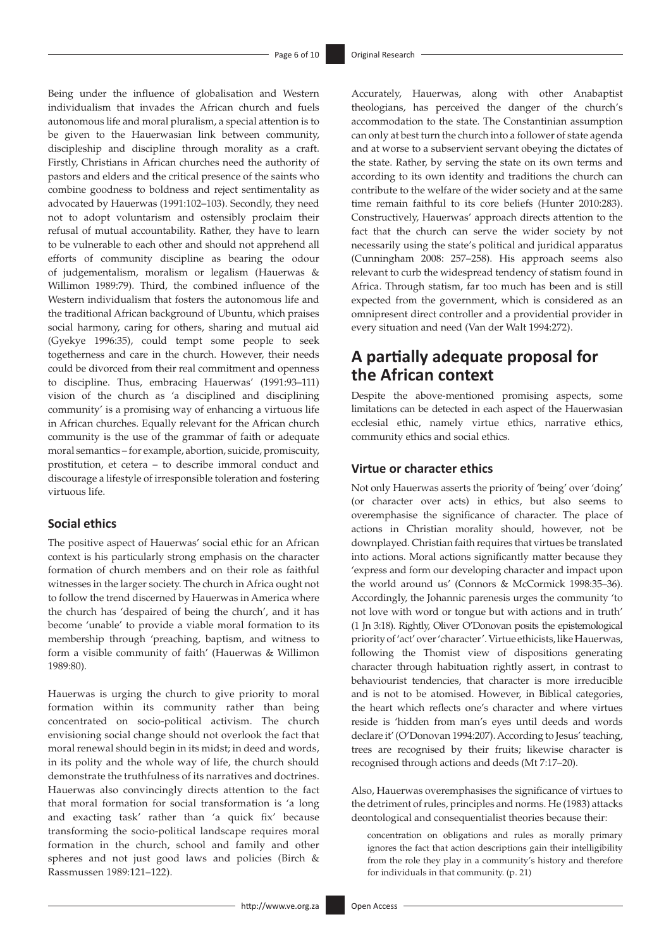Being under the influence of globalisation and Western individualism that invades the African church and fuels autonomous life and moral pluralism, a special attention is to be given to the Hauerwasian link between community, discipleship and discipline through morality as a craft. Firstly, Christians in African churches need the authority of pastors and elders and the critical presence of the saints who combine goodness to boldness and reject sentimentality as advocated by Hauerwas (1991:102–103). Secondly, they need not to adopt voluntarism and ostensibly proclaim their refusal of mutual accountability. Rather, they have to learn to be vulnerable to each other and should not apprehend all efforts of community discipline as bearing the odour of judgementalism, moralism or legalism (Hauerwas & Willimon 1989:79). Third, the combined influence of the Western individualism that fosters the autonomous life and the traditional African background of Ubuntu, which praises social harmony, caring for others, sharing and mutual aid (Gyekye 1996:35), could tempt some people to seek togetherness and care in the church. However, their needs could be divorced from their real commitment and openness to discipline. Thus, embracing Hauerwas' (1991:93–111) vision of the church as 'a disciplined and disciplining community' is a promising way of enhancing a virtuous life in African churches. Equally relevant for the African church community is the use of the grammar of faith or adequate moral semantics – for example, abortion, suicide, promiscuity, prostitution, et cetera – to describe immoral conduct and discourage a lifestyle of irresponsible toleration and fostering virtuous life.

#### **Social ethics**

The positive aspect of Hauerwas' social ethic for an African context is his particularly strong emphasis on the character formation of church members and on their role as faithful witnesses in the larger society. The church in Africa ought not to follow the trend discerned by Hauerwas in America where the church has 'despaired of being the church', and it has become 'unable' to provide a viable moral formation to its membership through 'preaching, baptism, and witness to form a visible community of faith' (Hauerwas & Willimon 1989:80).

Hauerwas is urging the church to give priority to moral formation within its community rather than being concentrated on socio-political activism. The church envisioning social change should not overlook the fact that moral renewal should begin in its midst; in deed and words, in its polity and the whole way of life, the church should demonstrate the truthfulness of its narratives and doctrines. Hauerwas also convincingly directs attention to the fact that moral formation for social transformation is 'a long and exacting task' rather than 'a quick fix' because transforming the socio-political landscape requires moral formation in the church, school and family and other spheres and not just good laws and policies (Birch & Rassmussen 1989:121–122).

Accurately, Hauerwas, along with other Anabaptist theologians, has perceived the danger of the church's accommodation to the state. The Constantinian assumption can only at best turn the church into a follower of state agenda and at worse to a subservient servant obeying the dictates of the state. Rather, by serving the state on its own terms and according to its own identity and traditions the church can contribute to the welfare of the wider society and at the same time remain faithful to its core beliefs (Hunter 2010:283). Constructively, Hauerwas' approach directs attention to the fact that the church can serve the wider society by not necessarily using the state's political and juridical apparatus (Cunningham 2008: 257–258). His approach seems also relevant to curb the widespread tendency of statism found in Africa. Through statism, far too much has been and is still expected from the government, which is considered as an omnipresent direct controller and a providential provider in every situation and need (Van der Walt 1994:272).

## **A partially adequate proposal for the African context**

Despite the above-mentioned promising aspects, some limitations can be detected in each aspect of the Hauerwasian ecclesial ethic, namely virtue ethics, narrative ethics, community ethics and social ethics.

### **Virtue or character ethics**

Not only Hauerwas asserts the priority of 'being' over 'doing' (or character over acts) in ethics, but also seems to overemphasise the significance of character. The place of actions in Christian morality should, however, not be downplayed. Christian faith requires that virtues be translated into actions. Moral actions significantly matter because they 'express and form our developing character and impact upon the world around us' (Connors & McCormick 1998:35–36). Accordingly, the Johannic parenesis urges the community 'to not love with word or tongue but with actions and in truth' (1 Jn 3:18). Rightly, Oliver O'Donovan posits the epistemological priority of 'act' over 'character'. Virtue ethicists, like Hauerwas, following the Thomist view of dispositions generating character through habituation rightly assert, in contrast to behaviourist tendencies, that character is more irreducible and is not to be atomised. However, in Biblical categories, the heart which reflects one's character and where virtues reside is 'hidden from man's eyes until deeds and words declare it' (O'Donovan 1994:207). According to Jesus' teaching, trees are recognised by their fruits; likewise character is recognised through actions and deeds (Mt 7:17–20).

Also, Hauerwas overemphasises the significance of virtues to the detriment of rules, principles and norms. He (1983) attacks deontological and consequentialist theories because their:

concentration on obligations and rules as morally primary ignores the fact that action descriptions gain their intelligibility from the role they play in a community's history and therefore for individuals in that community. (p. 21)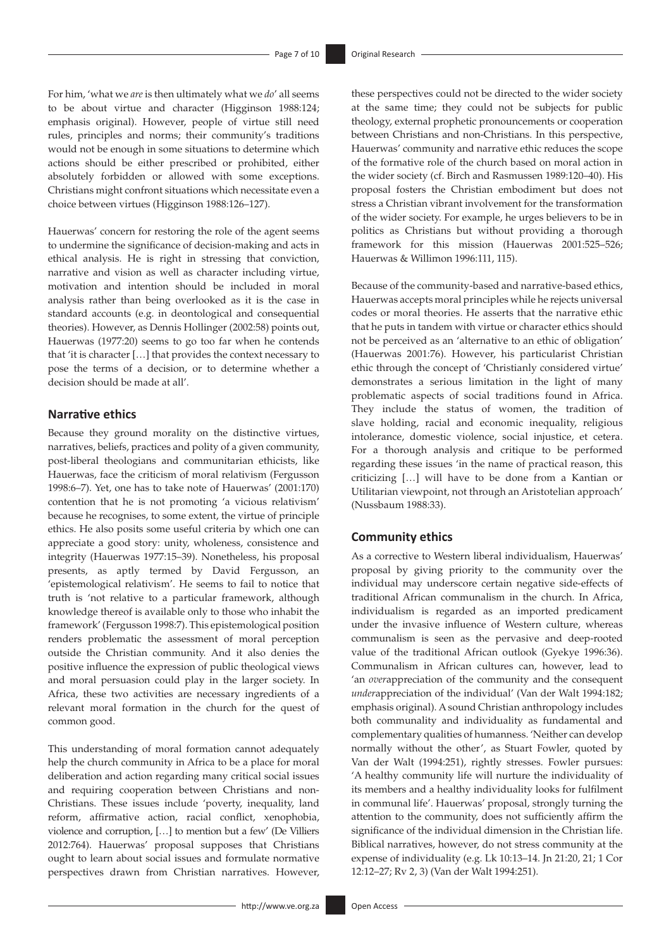For him, 'what we *are* is then ultimately what we *do*' all seems to be about virtue and character (Higginson 1988:124; emphasis original). However, people of virtue still need rules, principles and norms; their community's traditions would not be enough in some situations to determine which actions should be either prescribed or prohibited, either absolutely forbidden or allowed with some exceptions. Christians might confront situations which necessitate even a choice between virtues (Higginson 1988:126–127).

Hauerwas' concern for restoring the role of the agent seems to undermine the significance of decision-making and acts in ethical analysis. He is right in stressing that conviction, narrative and vision as well as character including virtue, motivation and intention should be included in moral analysis rather than being overlooked as it is the case in standard accounts (e.g. in deontological and consequential theories). However, as Dennis Hollinger (2002:58) points out, Hauerwas (1977:20) seems to go too far when he contends that 'it is character […] that provides the context necessary to pose the terms of a decision, or to determine whether a decision should be made at all'.

#### **Narrative ethics**

Because they ground morality on the distinctive virtues, narratives, beliefs, practices and polity of a given community, post-liberal theologians and communitarian ethicists, like Hauerwas, face the criticism of moral relativism (Fergusson 1998:6–7). Yet, one has to take note of Hauerwas' (2001:170) contention that he is not promoting 'a vicious relativism' because he recognises, to some extent, the virtue of principle ethics. He also posits some useful criteria by which one can appreciate a good story: unity, wholeness, consistence and integrity (Hauerwas 1977:15–39). Nonetheless, his proposal presents, as aptly termed by David Fergusson, an 'epistemological relativism'. He seems to fail to notice that truth is 'not relative to a particular framework, although knowledge thereof is available only to those who inhabit the framework' (Fergusson 1998:7). This epistemological position renders problematic the assessment of moral perception outside the Christian community. And it also denies the positive influence the expression of public theological views and moral persuasion could play in the larger society. In Africa, these two activities are necessary ingredients of a relevant moral formation in the church for the quest of common good.

This understanding of moral formation cannot adequately help the church community in Africa to be a place for moral deliberation and action regarding many critical social issues and requiring cooperation between Christians and non-Christians. These issues include 'poverty, inequality, land reform, affirmative action, racial conflict, xenophobia, violence and corruption, […] to mention but a few' (De Villiers 2012:764). Hauerwas' proposal supposes that Christians ought to learn about social issues and formulate normative perspectives drawn from Christian narratives. However,

these perspectives could not be directed to the wider society at the same time; they could not be subjects for public theology, external prophetic pronouncements or cooperation between Christians and non-Christians. In this perspective, Hauerwas' community and narrative ethic reduces the scope of the formative role of the church based on moral action in the wider society (cf. Birch and Rasmussen 1989:120–40). His proposal fosters the Christian embodiment but does not stress a Christian vibrant involvement for the transformation of the wider society. For example, he urges believers to be in politics as Christians but without providing a thorough framework for this mission (Hauerwas 2001:525–526; Hauerwas & Willimon 1996:111, 115).

Because of the community-based and narrative-based ethics, Hauerwas accepts moral principles while he rejects universal codes or moral theories. He asserts that the narrative ethic that he puts in tandem with virtue or character ethics should not be perceived as an 'alternative to an ethic of obligation' (Hauerwas 2001:76). However, his particularist Christian ethic through the concept of 'Christianly considered virtue' demonstrates a serious limitation in the light of many problematic aspects of social traditions found in Africa. They include the status of women, the tradition of slave holding, racial and economic inequality, religious intolerance, domestic violence, social injustice, et cetera. For a thorough analysis and critique to be performed regarding these issues 'in the name of practical reason, this criticizing […] will have to be done from a Kantian or Utilitarian viewpoint, not through an Aristotelian approach' (Nussbaum 1988:33).

#### **Community ethics**

As a corrective to Western liberal individualism, Hauerwas' proposal by giving priority to the community over the individual may underscore certain negative side-effects of traditional African communalism in the church. In Africa, individualism is regarded as an imported predicament under the invasive influence of Western culture, whereas communalism is seen as the pervasive and deep-rooted value of the traditional African outlook (Gyekye 1996:36). Communalism in African cultures can, however, lead to 'an *over*appreciation of the community and the consequent *under*appreciation of the individual' (Van der Walt 1994:182; emphasis original). A sound Christian anthropology includes both communality and individuality as fundamental and complementary qualities of humanness. 'Neither can develop normally without the other', as Stuart Fowler, quoted by Van der Walt (1994:251), rightly stresses. Fowler pursues: 'A healthy community life will nurture the individuality of its members and a healthy individuality looks for fulfilment in communal life'. Hauerwas' proposal, strongly turning the attention to the community, does not sufficiently affirm the significance of the individual dimension in the Christian life. Biblical narratives, however, do not stress community at the expense of individuality (e.g. Lk 10:13–14. Jn 21:20, 21; 1 Cor 12:12–27; Rv 2, 3) (Van der Walt 1994:251).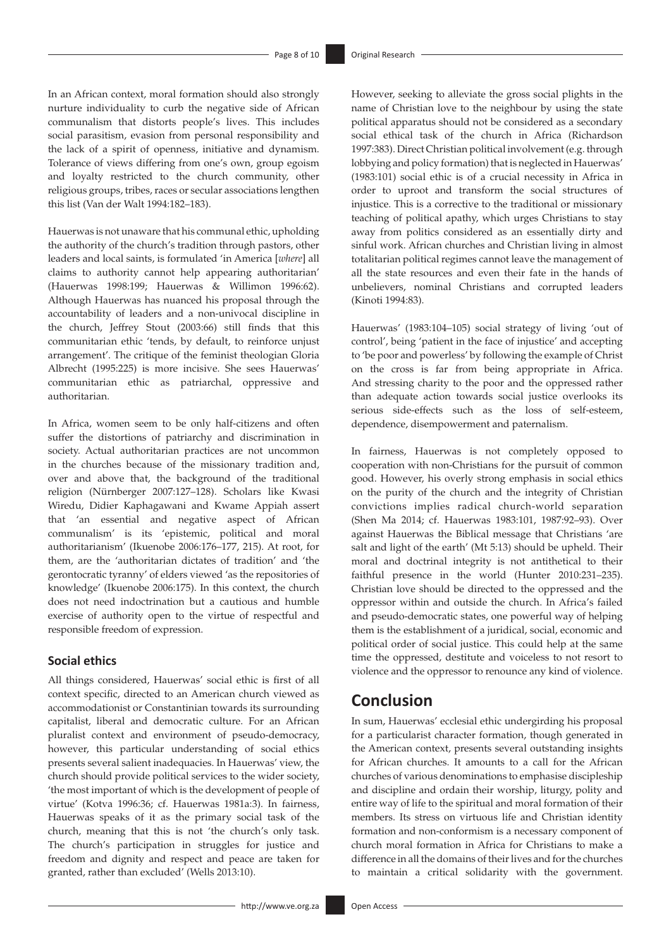In an African context, moral formation should also strongly nurture individuality to curb the negative side of African communalism that distorts people's lives. This includes social parasitism, evasion from personal responsibility and the lack of a spirit of openness, initiative and dynamism. Tolerance of views differing from one's own, group egoism and loyalty restricted to the church community, other religious groups, tribes, races or secular associations lengthen this list (Van der Walt 1994:182–183).

Hauerwas is not unaware that his communal ethic, upholding the authority of the church's tradition through pastors, other leaders and local saints, is formulated 'in America [*where*] all claims to authority cannot help appearing authoritarian' (Hauerwas 1998:199; Hauerwas & Willimon 1996:62). Although Hauerwas has nuanced his proposal through the accountability of leaders and a non-univocal discipline in the church, Jeffrey Stout (2003:66) still finds that this communitarian ethic 'tends, by default, to reinforce unjust arrangement'. The critique of the feminist theologian Gloria Albrecht (1995:225) is more incisive. She sees Hauerwas' communitarian ethic as patriarchal, oppressive and authoritarian.

In Africa, women seem to be only half-citizens and often suffer the distortions of patriarchy and discrimination in society. Actual authoritarian practices are not uncommon in the churches because of the missionary tradition and, over and above that, the background of the traditional religion (Nürnberger 2007:127–128). Scholars like Kwasi Wiredu, Didier Kaphagawani and Kwame Appiah assert that 'an essential and negative aspect of African communalism' is its 'epistemic, political and moral authoritarianism' (Ikuenobe 2006:176–177, 215). At root, for them, are the 'authoritarian dictates of tradition' and 'the gerontocratic tyranny' of elders viewed 'as the repositories of knowledge' (Ikuenobe 2006:175). In this context, the church does not need indoctrination but a cautious and humble exercise of authority open to the virtue of respectful and responsible freedom of expression.

### **Social ethics**

All things considered, Hauerwas' social ethic is first of all context specific, directed to an American church viewed as accommodationist or Constantinian towards its surrounding capitalist, liberal and democratic culture. For an African pluralist context and environment of pseudo-democracy, however, this particular understanding of social ethics presents several salient inadequacies. In Hauerwas' view, the church should provide political services to the wider society, 'the most important of which is the development of people of virtue' (Kotva 1996:36; cf. Hauerwas 1981a:3). In fairness, Hauerwas speaks of it as the primary social task of the church, meaning that this is not 'the church's only task. The church's participation in struggles for justice and freedom and dignity and respect and peace are taken for granted, rather than excluded' (Wells 2013:10).

However, seeking to alleviate the gross social plights in the name of Christian love to the neighbour by using the state political apparatus should not be considered as a secondary social ethical task of the church in Africa (Richardson 1997:383). Direct Christian political involvement (e.g. through lobbying and policy formation) that is neglected in Hauerwas' (1983:101) social ethic is of a crucial necessity in Africa in order to uproot and transform the social structures of injustice. This is a corrective to the traditional or missionary teaching of political apathy, which urges Christians to stay away from politics considered as an essentially dirty and sinful work. African churches and Christian living in almost totalitarian political regimes cannot leave the management of all the state resources and even their fate in the hands of unbelievers, nominal Christians and corrupted leaders (Kinoti 1994:83).

Hauerwas' (1983:104–105) social strategy of living 'out of control', being 'patient in the face of injustice' and accepting to 'be poor and powerless' by following the example of Christ on the cross is far from being appropriate in Africa. And stressing charity to the poor and the oppressed rather than adequate action towards social justice overlooks its serious side-effects such as the loss of self-esteem, dependence, disempowerment and paternalism.

In fairness, Hauerwas is not completely opposed to cooperation with non-Christians for the pursuit of common good. However, his overly strong emphasis in social ethics on the purity of the church and the integrity of Christian convictions implies radical church-world separation (Shen Ma 2014; cf. Hauerwas 1983:101, 1987:92–93). Over against Hauerwas the Biblical message that Christians 'are salt and light of the earth' (Mt 5:13) should be upheld. Their moral and doctrinal integrity is not antithetical to their faithful presence in the world (Hunter 2010:231–235). Christian love should be directed to the oppressed and the oppressor within and outside the church. In Africa's failed and pseudo-democratic states, one powerful way of helping them is the establishment of a juridical, social, economic and political order of social justice. This could help at the same time the oppressed, destitute and voiceless to not resort to violence and the oppressor to renounce any kind of violence.

### **Conclusion**

In sum, Hauerwas' ecclesial ethic undergirding his proposal for a particularist character formation, though generated in the American context, presents several outstanding insights for African churches. It amounts to a call for the African churches of various denominations to emphasise discipleship and discipline and ordain their worship, liturgy, polity and entire way of life to the spiritual and moral formation of their members. Its stress on virtuous life and Christian identity formation and non-conformism is a necessary component of church moral formation in Africa for Christians to make a difference in all the domains of their lives and for the churches to maintain a critical solidarity with the government.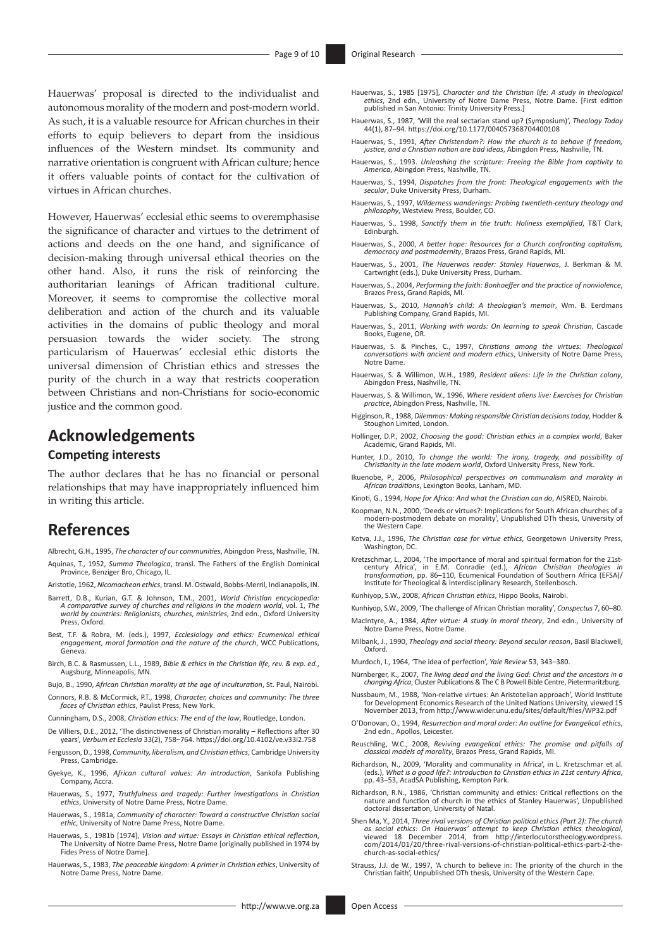Hauerwas' proposal is directed to the individualist and autonomous morality of the modern and post-modern world. As such, it is a valuable resource for African churches in their efforts to equip believers to depart from the insidious influences of the Western mindset. Its community and narrative orientation is congruent with African culture; hence it offers valuable points of contact for the cultivation of virtues in African churches.

However, Hauerwas' ecclesial ethic seems to overemphasise the significance of character and virtues to the detriment of actions and deeds on the one hand, and significance of decision-making through universal ethical theories on the other hand. Also, it runs the risk of reinforcing the authoritarian leanings of African traditional culture. Moreover, it seems to compromise the collective moral deliberation and action of the church and its valuable activities in the domains of public theology and moral persuasion towards the wider society. The strong particularism of Hauerwas' ecclesial ethic distorts the universal dimension of Christian ethics and stresses the purity of the church in a way that restricts cooperation between Christians and non-Christians for socio-economic justice and the common good.

## **Acknowledgements**

#### **Competing interests**

The author declares that he has no financial or personal relationships that may have inappropriately influenced him in writing this article.

### **References**

- Albrecht, G.H., 1995, *The character of our communities*, Abingdon Press, Nashville, TN. Aquinas, T., 1952, *Summa Theologica*, transl. The Fathers of the English Dominical Province, Benziger Bro, Chicago, IL.
- Aristotle, 1962, *Nicomachean ethics*, transl. M. Ostwald, Bobbs-Merril, Indianapolis, IN.
- Barrett, D.B., Kurian, G.T. & Johnson, T.M., 2001, *World Christian encyclopedia: A comparative survey of churches and religions in the modern world*, vol. 1, *The world by countries: Religionists, churches, ministries*, 2nd edn., Oxford University Press, Oxford.
- Best, T.F. & Robra, M. (eds.), 1997, *Ecclesiology and ethics: Ecumenical ethical engagement, moral formation and the nature of the church*, WCC Publications, Geneva.
- Birch, B.C. & Rasmussen, L.L., 1989, *Bible & ethics in the Christian life, rev. & exp. ed.*, Augsburg, Minneapolis, MN.
- Bujo, B., 1990, *African Christian morality at the age of inculturation*, St. Paul, Nairobi.
- Connors, R.B. & McCormick, P.T., 1998, *Character, choices and community: The three faces of Christian ethics*, Paulist Press, New York.
- Cunningham, D.S., 2008, *Christian ethics: The end of the law*, Routledge, London.
- De Villiers, D.E., 2012, 'The distinctiveness of Christian morality Reflections after 30 years', *Verbum et Ecclesia* 33(2), 758–764.<https://doi.org/10.4102/ve.v33i2.758>
- Fergusson, D., 1998, *Community, liberalism, and Christian ethics*, Cambridge University Press, Cambridge.
- Gyekye, K., 1996, *African cultural values: An introduction*, Sankofa Publishing Company, Accra.
- Hauerwas, S., 1977, *Truthfulness and tragedy: Further investigations in Christian ethics*, University of Notre Dame Press, Notre Dame.
- Hauerwas, S., 1981a, *Community of character: Toward a constructive Christian social ethic*, University of Notre Dame Press, Notre Dame.
- Hauerwas, S., 1981b [1974], *Vision and virtue: Essays in Christian ethical reflection*, The University of Notre Dame Press, Notre Dame [originally published in 1974 by Fides Press of Notre Dame].
- Hauerwas, S., 1983, *The peaceable kingdom: A primer in Christian ethics*, University of Notre Dame Press, Notre Dame.
- Hauerwas, S., 1985 [1975], Character and the Christian life: A study in theological<br>ethics, 2nd edn., University of Notre Dame. [First edition<br>published in San Antonio: Trinity University Press.]
- Hauerwas, S., 1987, 'Will the real sectarian stand up? (Symposium)', *Theology Today* 44(1), 87–94.<https://doi.org/10.1177/004057368704400108>
- Hauerwas, S., 1991, *After Christendom?: How the church is to behave if freedom, justice, and a Christian nation are bad ideas*, Abingdon Press, Nashville, TN.
- Hauerwas, S., 1993. *Unleashing the scripture: Freeing the Bible from captivity to America*, Abingdon Press, Nashville, TN.
- Hauerwas, S., 1994, *Dispatches from the front: Theological engagements with the secular*, Duke University Press, Durham.
- Hauerwas, S., 1997, *Wilderness wanderings: Probing twentieth-century theology and philosophy*, Westview Press, Boulder, CO.
- Hauerwas, S., 1998, *Sanctify them in the truth: Holiness exemplified*, T&T Clark, Edinburgh.
- Hauerwas, S., 2000, *A better hope: Resources for a Church confronting capitalism, democracy and postmodernity*, Brazos Press, Grand Rapids, MI.
- Hauerwas, S., 2001, *The Hauerwas reader: Stanley Hauerwas*, J. Berkman & M. Cartwright (eds.), Duke University Press, Durham.
- Hauerwas, S., 2004, *Performing the faith: Bonhoeffer and the practice of nonviolence*, Brazos Press, Grand Rapids, MI.
- Hauerwas, S., 2010, *Hannah's child: A theologian's memoir*, Wm. B. Eerdmans Publishing Company, Grand Rapids, MI.
- Hauerwas, S., 2011, *Working with words: On learning to speak Christian*, Cascade Books, Eugene, OR.
- Hauerwas, S. & Pinches, C., 1997, *Christians among the virtues: Theological conversations with ancient and modern ethics*, University of Notre Dame Press, Notre Dame.
- Hauerwas, S. & Willimon, W.H., 1989, *Resident aliens: Life in the Christian colony*, Abingdon Press, Nashville, TN.
- Hauerwas, S. & Willimon, W., 1996, *Where resident aliens live: Exercises for Christian practice*, Abingdon Press, Nashville, TN.
- Higginson, R., 1988, *Dilemmas: Making responsible Christian decisions today*, Hodder & Stoughon Limited, London.
- Hollinger, D.P., 2002, *Choosing the good: Christian ethics in a complex world*, Baker Academic, Grand Rapids, MI.
- Hunter, J.D., 2010, *To change the world: The irony, tragedy, and possibility of Christianity in the late modern world*, Oxford University Press, New York.
- Ikuenobe, P., 2006, *Philosophical perspectives on communalism and morality in African traditions*, Lexington Books, Lanham, MD.
- Kinoti, G., 1994, *Hope for Africa: And what the Christian can do*, AISRED, Nairobi.
- Koopman, N.N., 2000, 'Deeds or virtues?: Implications for South African churches of a modern-postmodern debate on morality', Unpublished DTh thesis, University of modern-postmodern debate on morality', Unpublished DTh thesis, University of the Western Cape.
- Kotva, J.J., 1996, *The Christian case for virtue ethics*, Georgetown University Press, Washington, DC.
- Kretzschmar, L., 2004, 'The importance of moral and spiritual formation for the 21stcentury Africa', in E.M. Conradie (ed.), *African Christian theologies in transformation*, pp. 86–110, Ecumenical Foundation of Southern Africa (EFSA)/ Institute for Theological & Interdisciplinary Research, Stellenbosch.
- Kunhiyop, S.W., 2008, *African Christian ethics*, Hippo Books, Nairobi.
- Kunhiyop, S.W., 2009, 'The challenge of African Christian morality', *Conspectus* 7, 60–80. MacIntyre, A., 1984, *After virtue: A study in moral theory*, 2nd edn., University of Notre Dame Press, Notre Dame.
- Milbank, J., 1990, *Theology and social theory: Beyond secular reason*, Basil Blackwell, Oxford.
- Murdoch, I., 1964, 'The idea of perfection', *Yale Review* 53, 343–380.
- Nürnberger, K., 2007, *The living dead and the living God: Christ and the ancestors in a changing Africa*, Cluster Publications & The C B Powell Bible Centre, Pietermaritzburg.
- Nussbaum, M., 1988, 'Non-relative virtues: An Aristotelian approach', World Institute for Development Economics Research of the United Nations University, viewed 15 November 2013, from <http://www.wider.unu.edu/sites/default/files/WP32.pdf>
- O'Donovan, O., 1994, *Resurrection and moral order: An outline for Evangelical ethics*, 2nd edn., Apollos, Leicester.
- Reuschling, W.C., 2008, *Reviving evangelical ethics: The promise and pitfalls of classical models of morality*, Brazos Press, Grand Rapids, MI.
- Richardson, N., 2009, 'Morality and communality in Africa', in L. Kretzschmar et al. (eds.), *What is a good life?: Introduction to Christian ethics in 21st century Africa*, pp. 43–53, AcadSA Publishing, Kempton Park.
- Richardson, R.N., 1986, 'Christian community and ethics: Critical reflections on the nature and function of church in the ethics of Stanley Hauerwas', Unpublished doctoral dissertation, University of Natal.
- Shen Ma, Y., 2014, *Three rival versions of Christian political ethics (Part 2): The church as social ethics: On Hauerwas' attempt to keep Christian ethics theological*, viewed 18 December 2014, from [http://interlocutorstheology.wordpress.](http://interlocutorstheology.wordpress.com/2014/01/20/three-rival-versions-of-christian-political-ethics-part-2-the-church-as-social-ethics/) [com/2014/01/20/three-rival-versions-of-christian-political-ethics-part-2-the](http://interlocutorstheology.wordpress.com/2014/01/20/three-rival-versions-of-christian-political-ethics-part-2-the-church-as-social-ethics/)[church-as-social-ethics/](http://interlocutorstheology.wordpress.com/2014/01/20/three-rival-versions-of-christian-political-ethics-part-2-the-church-as-social-ethics/)
- Strauss, J.J. de W., 1997, 'A church to believe in: The priority of the church in the Christian faith', Unpublished DTh thesis, University of the Western Cape.